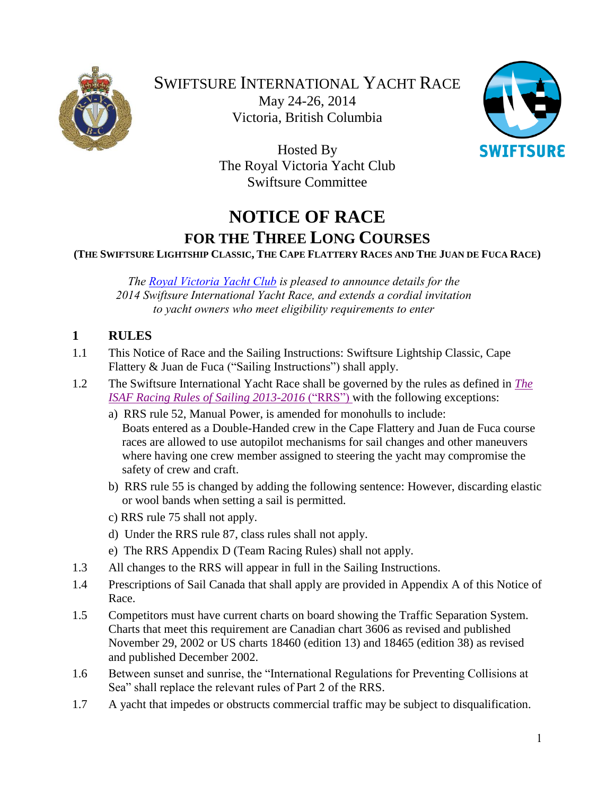

SWIFTSURE INTERNATIONAL YACHT RACE May 24-26, 2014 Victoria, British Columbia



Hosted By The Royal Victoria Yacht Club Swiftsure Committee

# **NOTICE OF RACE FOR THE THREE LONG COURSES**

(THE SWIFTSURE LIGHTSHIP CLASSIC, THE CAPE FLATTERY RACES AND THE JUAN DE FUCA RACE)

*The [Royal Victoria Yacht Club](https://rvyc.bc.ca/) is pleased to announce details for the 2014 Swiftsure International Yacht Race, and extends a cordial invitation to yacht owners who meet eligibility requirements to enter*

### **1 RULES**

- 1.1 This Notice of Race and the Sailing Instructions: Swiftsure Lightship Classic, Cape Flattery & Juan de Fuca ("Sailing Instructions") shall apply.
- 1.2 The Swiftsure International Yacht Race shall be governed by the rules as defined in *[The](http://www.sailing.org/tools/documents/ISAFRRS20132016Final-%5B13376%5D.pdf)  [ISAF Racing Rules of Sailing 2013-2016](http://www.sailing.org/tools/documents/ISAFRRS20132016Final-%5B13376%5D.pdf)* ("RRS") with the following exceptions:
	- a) RRS rule 52, Manual Power, is amended for monohulls to include: Boats entered as a Double-Handed crew in the Cape Flattery and Juan de Fuca course races are allowed to use autopilot mechanisms for sail changes and other maneuvers where having one crew member assigned to steering the yacht may compromise the safety of crew and craft.
	- b) RRS rule 55 is changed by adding the following sentence: However, discarding elastic or wool bands when setting a sail is permitted.
	- c) RRS rule 75 shall not apply.
	- d) Under the RRS rule 87, class rules shall not apply.
	- e) The RRS Appendix D (Team Racing Rules) shall not apply.
- 1.3 All changes to the RRS will appear in full in the Sailing Instructions.
- 1.4 Prescriptions of Sail Canada that shall apply are provided in Appendix A of this Notice of Race.
- 1.5 Competitors must have current charts on board showing the Traffic Separation System. Charts that meet this requirement are Canadian chart 3606 as revised and published November 29, 2002 or US charts 18460 (edition 13) and 18465 (edition 38) as revised and published December 2002.
- 1.6 Between sunset and sunrise, the "International Regulations for Preventing Collisions at Sea" shall replace the relevant rules of Part 2 of the RRS.
- 1.7 A yacht that impedes or obstructs commercial traffic may be subject to disqualification.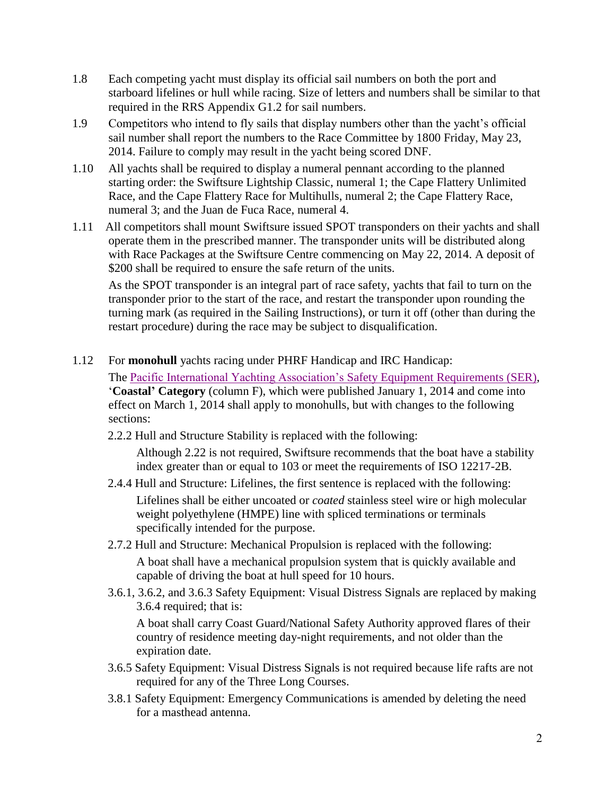- 1.8 Each competing yacht must display its official sail numbers on both the port and starboard lifelines or hull while racing. Size of letters and numbers shall be similar to that required in the RRS Appendix G1.2 for sail numbers.
- 1.9 Competitors who intend to fly sails that display numbers other than the yacht's official sail number shall report the numbers to the Race Committee by 1800 Friday, May 23, 2014. Failure to comply may result in the yacht being scored DNF.
- 1.10 All yachts shall be required to display a numeral pennant according to the planned starting order: the Swiftsure Lightship Classic, numeral 1; the Cape Flattery Unlimited Race, and the Cape Flattery Race for Multihulls, numeral 2; the Cape Flattery Race, numeral 3; and the Juan de Fuca Race, numeral 4.
- 1.11 All competitors shall mount Swiftsure issued SPOT transponders on their yachts and shall operate them in the prescribed manner. The transponder units will be distributed along with Race Packages at the Swiftsure Centre commencing on May 22, 2014. A deposit of \$200 shall be required to ensure the safe return of the units.

As the SPOT transponder is an integral part of race safety, yachts that fail to turn on the transponder prior to the start of the race, and restart the transponder upon rounding the turning mark (as required in the Sailing Instructions), or turn it off (other than during the restart procedure) during the race may be subject to disqualification.

1.12 For **monohull** yachts racing under PHRF Handicap and IRC Handicap:

 The [Pacific International Yachting Association's Safety Equipment Requirements \(SER\),](http://www.piyasailing.com/) '**Coastal' Category** (column F), which were published January 1, 2014 and come into effect on March 1, 2014 shall apply to monohulls, but with changes to the following sections:

2.2.2 Hull and Structure Stability is replaced with the following:

Although 2.22 is not required, Swiftsure recommends that the boat have a stability index greater than or equal to 103 or meet the requirements of ISO 12217-2B.

- 2.4.4 Hull and Structure: Lifelines, the first sentence is replaced with the following: Lifelines shall be either uncoated or *coated* stainless steel wire or high molecular weight polyethylene (HMPE) line with spliced terminations or terminals specifically intended for the purpose.
- 2.7.2 Hull and Structure: Mechanical Propulsion is replaced with the following: A boat shall have a mechanical propulsion system that is quickly available and capable of driving the boat at hull speed for 10 hours.
- 3.6.1, 3.6.2, and 3.6.3 Safety Equipment: Visual Distress Signals are replaced by making 3.6.4 required; that is:

A boat shall carry Coast Guard/National Safety Authority approved flares of their country of residence meeting day-night requirements, and not older than the expiration date.

- 3.6.5 Safety Equipment: Visual Distress Signals is not required because life rafts are not required for any of the Three Long Courses.
- 3.8.1 Safety Equipment: Emergency Communications is amended by deleting the need for a masthead antenna.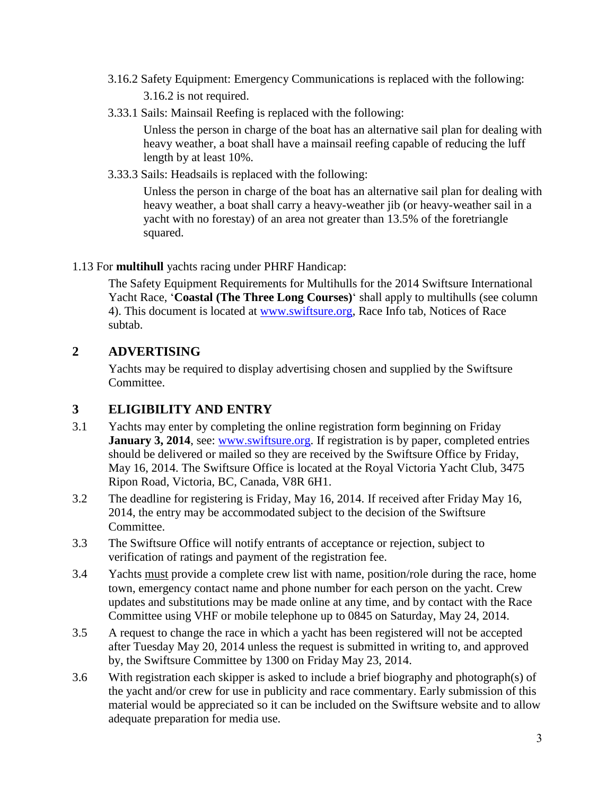- 3.16.2 Safety Equipment: Emergency Communications is replaced with the following: 3.16.2 is not required.
- 3.33.1 Sails: Mainsail Reefing is replaced with the following:

Unless the person in charge of the boat has an alternative sail plan for dealing with heavy weather, a boat shall have a mainsail reefing capable of reducing the luff length by at least 10%.

3.33.3 Sails: Headsails is replaced with the following:

Unless the person in charge of the boat has an alternative sail plan for dealing with heavy weather, a boat shall carry a heavy-weather jib (or heavy-weather sail in a yacht with no forestay) of an area not greater than 13.5% of the foretriangle squared.

### 1.13 For **multihull** yachts racing under PHRF Handicap:

 The Safety Equipment Requirements for Multihulls for the 2014 Swiftsure International Yacht Race, '**Coastal (The Three Long Courses)**' shall apply to multihulls (see column 4). This document is located at [www.swiftsure.org,](http://www.swiftsure.org/) Race Info tab, Notices of Race subtab.

### **2 ADVERTISING**

Yachts may be required to display advertising chosen and supplied by the Swiftsure Committee.

## **3 ELIGIBILITY AND ENTRY**

- 3.1 Yachts may enter by completing the online registration form beginning on Friday **January 3, 2014**, see: [www.swiftsure.org.](http://www.swiftsure.org/) If registration is by paper, completed entries should be delivered or mailed so they are received by the Swiftsure Office by Friday, May 16, 2014. The Swiftsure Office is located at the Royal Victoria Yacht Club, 3475 Ripon Road, Victoria, BC, Canada, V8R 6H1.
- 3.2 The deadline for registering is Friday, May 16, 2014. If received after Friday May 16, 2014, the entry may be accommodated subject to the decision of the Swiftsure Committee.
- 3.3 The Swiftsure Office will notify entrants of acceptance or rejection, subject to verification of ratings and payment of the registration fee.
- 3.4 Yachts must provide a complete crew list with name, position/role during the race, home town, emergency contact name and phone number for each person on the yacht. Crew updates and substitutions may be made online at any time, and by contact with the Race Committee using VHF or mobile telephone up to 0845 on Saturday, May 24, 2014.
- 3.5 A request to change the race in which a yacht has been registered will not be accepted after Tuesday May 20, 2014 unless the request is submitted in writing to, and approved by, the Swiftsure Committee by 1300 on Friday May 23, 2014.
- 3.6 With registration each skipper is asked to include a brief biography and photograph(s) of the yacht and/or crew for use in publicity and race commentary. Early submission of this material would be appreciated so it can be included on the Swiftsure website and to allow adequate preparation for media use.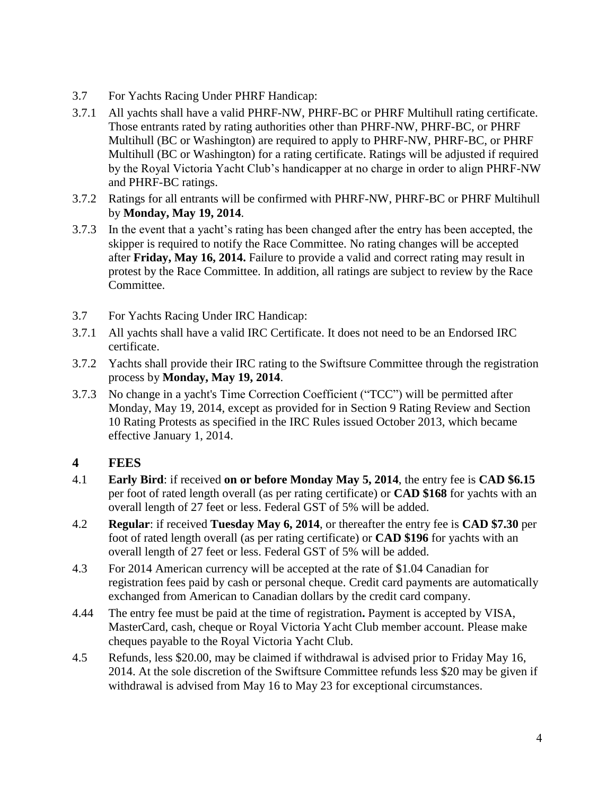- 3.7 For Yachts Racing Under PHRF Handicap:
- 3.7.1 All yachts shall have a valid PHRF-NW, PHRF-BC or PHRF Multihull rating certificate. Those entrants rated by rating authorities other than PHRF-NW, PHRF-BC, or PHRF Multihull (BC or Washington) are required to apply to PHRF-NW, PHRF-BC, or PHRF Multihull (BC or Washington) for a rating certificate. Ratings will be adjusted if required by the Royal Victoria Yacht Club's handicapper at no charge in order to align PHRF-NW and PHRF-BC ratings.
- 3.7.2 Ratings for all entrants will be confirmed with PHRF-NW, PHRF-BC or PHRF Multihull by **Monday, May 19, 2014**.
- 3.7.3 In the event that a yacht's rating has been changed after the entry has been accepted, the skipper is required to notify the Race Committee. No rating changes will be accepted after **Friday, May 16, 2014.** Failure to provide a valid and correct rating may result in protest by the Race Committee. In addition, all ratings are subject to review by the Race Committee.
- 3.7 For Yachts Racing Under IRC Handicap:
- 3.7.1 All yachts shall have a valid IRC Certificate. It does not need to be an Endorsed IRC certificate.
- 3.7.2 Yachts shall provide their IRC rating to the Swiftsure Committee through the registration process by **Monday, May 19, 2014**.
- 3.7.3 No change in a yacht's Time Correction Coefficient ("TCC") will be permitted after Monday, May 19, 2014, except as provided for in Section 9 Rating Review and Section 10 Rating Protests as specified in the IRC Rules issued October 2013, which became effective January 1, 2014.

### **4 FEES**

- 4.1 **Early Bird**: if received **on or before Monday May 5, 2014**, the entry fee is **CAD \$6.15** per foot of rated length overall (as per rating certificate) or **CAD \$168** for yachts with an overall length of 27 feet or less. Federal GST of 5% will be added.
- 4.2 **Regular**: if received **Tuesday May 6, 2014**, or thereafter the entry fee is **CAD \$7.30** per foot of rated length overall (as per rating certificate) or **CAD \$196** for yachts with an overall length of 27 feet or less. Federal GST of 5% will be added.
- 4.3 For 2014 American currency will be accepted at the rate of \$1.04 Canadian for registration fees paid by cash or personal cheque. Credit card payments are automatically exchanged from American to Canadian dollars by the credit card company.
- 4.44 The entry fee must be paid at the time of registration**.** Payment is accepted by VISA, MasterCard, cash, cheque or Royal Victoria Yacht Club member account. Please make cheques payable to the Royal Victoria Yacht Club.
- 4.5 Refunds, less \$20.00, may be claimed if withdrawal is advised prior to Friday May 16, 2014. At the sole discretion of the Swiftsure Committee refunds less \$20 may be given if withdrawal is advised from May 16 to May 23 for exceptional circumstances.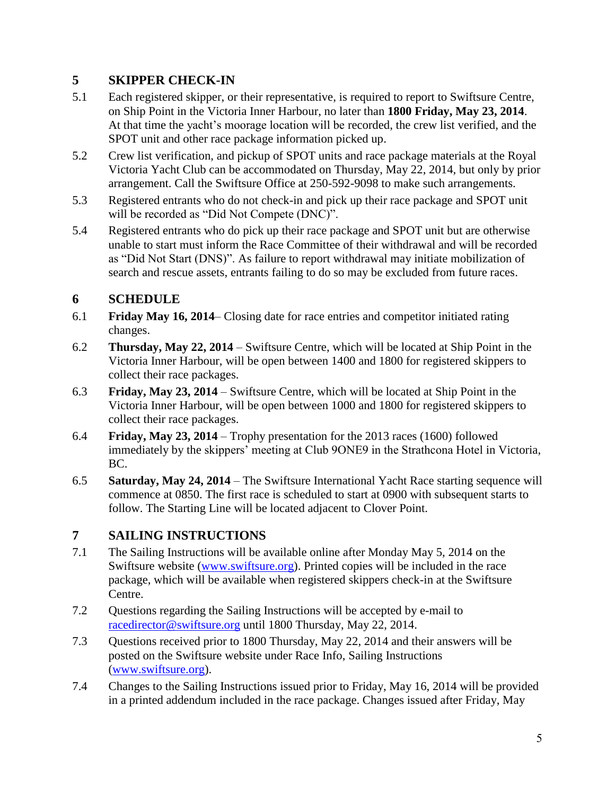## **5 SKIPPER CHECK-IN**

- 5.1 Each registered skipper, or their representative, is required to report to Swiftsure Centre, on Ship Point in the Victoria Inner Harbour, no later than **1800 Friday, May 23, 2014**. At that time the yacht's moorage location will be recorded, the crew list verified, and the SPOT unit and other race package information picked up.
- 5.2 Crew list verification, and pickup of SPOT units and race package materials at the Royal Victoria Yacht Club can be accommodated on Thursday, May 22, 2014, but only by prior arrangement. Call the Swiftsure Office at 250-592-9098 to make such arrangements.
- 5.3 Registered entrants who do not check-in and pick up their race package and SPOT unit will be recorded as "Did Not Compete (DNC)".
- 5.4 Registered entrants who do pick up their race package and SPOT unit but are otherwise unable to start must inform the Race Committee of their withdrawal and will be recorded as "Did Not Start (DNS)". As failure to report withdrawal may initiate mobilization of search and rescue assets, entrants failing to do so may be excluded from future races.

## **6 SCHEDULE**

- 6.1 **Friday May 16, 2014** Closing date for race entries and competitor initiated rating changes.
- 6.2 **Thursday, May 22, 2014** Swiftsure Centre, which will be located at Ship Point in the Victoria Inner Harbour, will be open between 1400 and 1800 for registered skippers to collect their race packages.
- 6.3 **Friday, May 23, 2014** Swiftsure Centre, which will be located at Ship Point in the Victoria Inner Harbour, will be open between 1000 and 1800 for registered skippers to collect their race packages.
- 6.4 **Friday, May 23, 2014** Trophy presentation for the 2013 races (1600) followed immediately by the skippers' meeting at Club 9ONE9 in the Strathcona Hotel in Victoria, BC.
- 6.5 **Saturday, May 24, 2014** The Swiftsure International Yacht Race starting sequence will commence at 0850. The first race is scheduled to start at 0900 with subsequent starts to follow. The Starting Line will be located adjacent to Clover Point.

## **7 SAILING INSTRUCTIONS**

- 7.1 The Sailing Instructions will be available online after Monday May 5, 2014 on the Swiftsure website [\(www.swiftsure.org\)](http://www.swiftsure.org/). Printed copies will be included in the race package, which will be available when registered skippers check-in at the Swiftsure Centre.
- 7.2 Questions regarding the Sailing Instructions will be accepted by e-mail to [racedirector@swiftsure.org](mailto:racedirector@swiftsure.org) until 1800 Thursday, May 22, 2014.
- 7.3 Questions received prior to 1800 Thursday, May 22, 2014 and their answers will be posted on the Swiftsure website under Race Info, Sailing Instructions [\(www.swiftsure.org\)](http://www.swiftsure.org/).
- 7.4 Changes to the Sailing Instructions issued prior to Friday, May 16, 2014 will be provided in a printed addendum included in the race package. Changes issued after Friday, May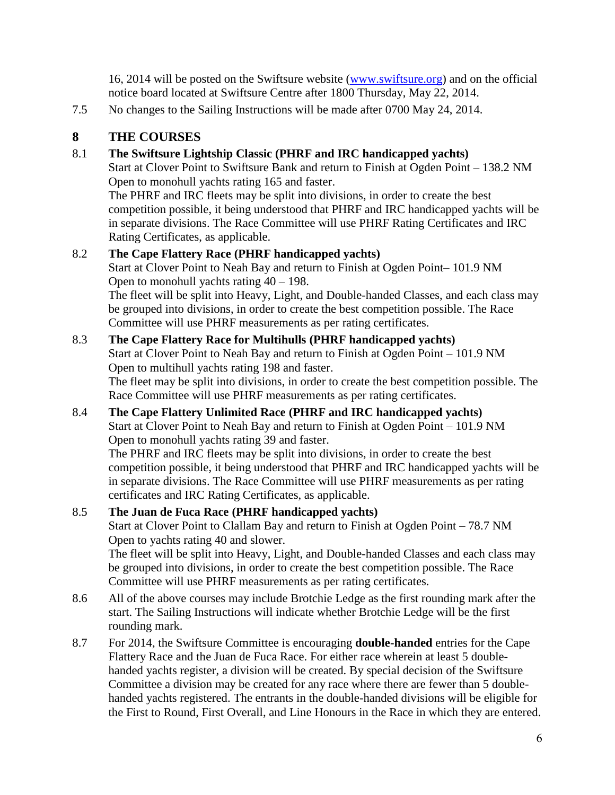16, 2014 will be posted on the Swiftsure website [\(www.swiftsure.org\)](http://www.swiftsure.org/) and on the official notice board located at Swiftsure Centre after 1800 Thursday, May 22, 2014.

7.5 No changes to the Sailing Instructions will be made after 0700 May 24, 2014.

## **8 THE COURSES**

### 8.1 **The Swiftsure Lightship Classic (PHRF and IRC handicapped yachts)**

Start at Clover Point to Swiftsure Bank and return to Finish at Ogden Point – 138.2 NM Open to monohull yachts rating 165 and faster.

The PHRF and IRC fleets may be split into divisions, in order to create the best competition possible, it being understood that PHRF and IRC handicapped yachts will be in separate divisions. The Race Committee will use PHRF Rating Certificates and IRC Rating Certificates, as applicable.

## 8.2 **The Cape Flattery Race (PHRF handicapped yachts)**

Start at Clover Point to Neah Bay and return to Finish at Ogden Point– 101.9 NM Open to monohull yachts rating  $40 - 198$ .

The fleet will be split into Heavy, Light, and Double-handed Classes, and each class may be grouped into divisions, in order to create the best competition possible. The Race Committee will use PHRF measurements as per rating certificates.

### 8.3 **The Cape Flattery Race for Multihulls (PHRF handicapped yachts)**

Start at Clover Point to Neah Bay and return to Finish at Ogden Point – 101.9 NM Open to multihull yachts rating 198 and faster.

The fleet may be split into divisions, in order to create the best competition possible. The Race Committee will use PHRF measurements as per rating certificates.

## 8.4 **The Cape Flattery Unlimited Race (PHRF and IRC handicapped yachts)**

Start at Clover Point to Neah Bay and return to Finish at Ogden Point – 101.9 NM Open to monohull yachts rating 39 and faster.

The PHRF and IRC fleets may be split into divisions, in order to create the best competition possible, it being understood that PHRF and IRC handicapped yachts will be in separate divisions. The Race Committee will use PHRF measurements as per rating certificates and IRC Rating Certificates, as applicable.

#### 8.5 **The Juan de Fuca Race (PHRF handicapped yachts)** Start at Clover Point to Clallam Bay and return to Finish at Ogden Point – 78.7 NM

Open to yachts rating 40 and slower.

The fleet will be split into Heavy, Light, and Double-handed Classes and each class may be grouped into divisions, in order to create the best competition possible. The Race Committee will use PHRF measurements as per rating certificates.

- 8.6 All of the above courses may include Brotchie Ledge as the first rounding mark after the start. The Sailing Instructions will indicate whether Brotchie Ledge will be the first rounding mark.
- 8.7 For 2014, the Swiftsure Committee is encouraging **double-handed** entries for the Cape Flattery Race and the Juan de Fuca Race. For either race wherein at least 5 doublehanded yachts register, a division will be created. By special decision of the Swiftsure Committee a division may be created for any race where there are fewer than 5 doublehanded yachts registered. The entrants in the double-handed divisions will be eligible for the First to Round, First Overall, and Line Honours in the Race in which they are entered.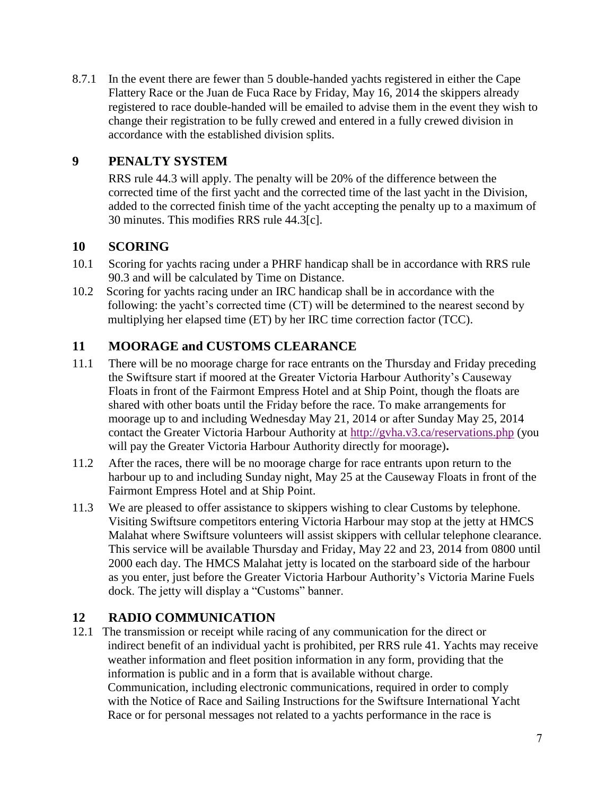8.7.1 In the event there are fewer than 5 double-handed yachts registered in either the Cape Flattery Race or the Juan de Fuca Race by Friday, May 16, 2014 the skippers already registered to race double-handed will be emailed to advise them in the event they wish to change their registration to be fully crewed and entered in a fully crewed division in accordance with the established division splits.

## **9 PENALTY SYSTEM**

RRS rule 44.3 will apply. The penalty will be 20% of the difference between the corrected time of the first yacht and the corrected time of the last yacht in the Division, added to the corrected finish time of the yacht accepting the penalty up to a maximum of 30 minutes. This modifies RRS rule 44.3[c].

## **10 SCORING**

- 10.1 Scoring for yachts racing under a PHRF handicap shall be in accordance with RRS rule 90.3 and will be calculated by Time on Distance.
- 10.2 Scoring for yachts racing under an IRC handicap shall be in accordance with the following: the yacht's corrected time (CT) will be determined to the nearest second by multiplying her elapsed time (ET) by her IRC time correction factor (TCC).

## **11 MOORAGE and CUSTOMS CLEARANCE**

- 11.1 There will be no moorage charge for race entrants on the Thursday and Friday preceding the Swiftsure start if moored at the Greater Victoria Harbour Authority's Causeway Floats in front of the Fairmont Empress Hotel and at Ship Point, though the floats are shared with other boats until the Friday before the race. To make arrangements for moorage up to and including Wednesday May 21, 2014 or after Sunday May 25, 2014 contact the Greater Victoria Harbour Authority at<http://gvha.v3.ca/reservations.php> (you will pay the Greater Victoria Harbour Authority directly for moorage)**.**
- 11.2 After the races, there will be no moorage charge for race entrants upon return to the harbour up to and including Sunday night, May 25 at the Causeway Floats in front of the Fairmont Empress Hotel and at Ship Point.
- 11.3 We are pleased to offer assistance to skippers wishing to clear Customs by telephone. Visiting Swiftsure competitors entering Victoria Harbour may stop at the jetty at HMCS Malahat where Swiftsure volunteers will assist skippers with cellular telephone clearance. This service will be available Thursday and Friday, May 22 and 23, 2014 from 0800 until 2000 each day. The HMCS Malahat jetty is located on the starboard side of the harbour as you enter, just before the Greater Victoria Harbour Authority's Victoria Marine Fuels dock. The jetty will display a "Customs" banner.

## **12 RADIO COMMUNICATION**

12.1 The transmission or receipt while racing of any communication for the direct or indirect benefit of an individual yacht is prohibited, per RRS rule 41. Yachts may receive weather information and fleet position information in any form, providing that the information is public and in a form that is available without charge. Communication, including electronic communications, required in order to comply with the Notice of Race and Sailing Instructions for the Swiftsure International Yacht Race or for personal messages not related to a yachts performance in the race is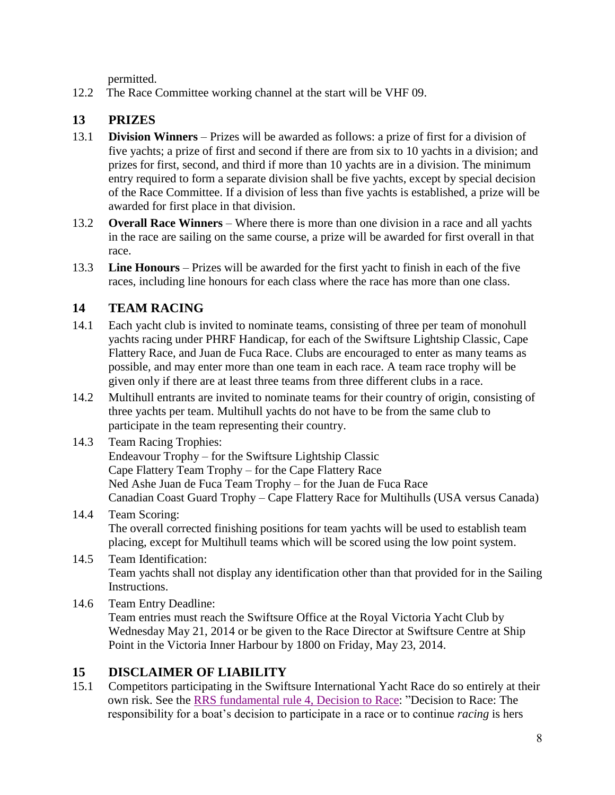permitted.

12.2 The Race Committee working channel at the start will be VHF 09.

## **13 PRIZES**

- 13.1 **Division Winners** Prizes will be awarded as follows: a prize of first for a division of five yachts; a prize of first and second if there are from six to 10 yachts in a division; and prizes for first, second, and third if more than 10 yachts are in a division. The minimum entry required to form a separate division shall be five yachts, except by special decision of the Race Committee. If a division of less than five yachts is established, a prize will be awarded for first place in that division.
- 13.2 **Overall Race Winners** Where there is more than one division in a race and all yachts in the race are sailing on the same course, a prize will be awarded for first overall in that race.
- 13.3 **Line Honours** Prizes will be awarded for the first yacht to finish in each of the five races, including line honours for each class where the race has more than one class.

## **14 TEAM RACING**

- 14.1 Each yacht club is invited to nominate teams, consisting of three per team of monohull yachts racing under PHRF Handicap, for each of the Swiftsure Lightship Classic, Cape Flattery Race, and Juan de Fuca Race. Clubs are encouraged to enter as many teams as possible, and may enter more than one team in each race. A team race trophy will be given only if there are at least three teams from three different clubs in a race.
- 14.2 Multihull entrants are invited to nominate teams for their country of origin, consisting of three yachts per team. Multihull yachts do not have to be from the same club to participate in the team representing their country.
- 14.3 Team Racing Trophies: Endeavour Trophy – for the Swiftsure Lightship Classic Cape Flattery Team Trophy – for the Cape Flattery Race Ned Ashe Juan de Fuca Team Trophy – for the Juan de Fuca Race Canadian Coast Guard Trophy – Cape Flattery Race for Multihulls (USA versus Canada)
- 14.4 Team Scoring: The overall corrected finishing positions for team yachts will be used to establish team placing, except for Multihull teams which will be scored using the low point system.
- 14.5 Team Identification: Team yachts shall not display any identification other than that provided for in the Sailing Instructions.
- 14.6 Team Entry Deadline: Team entries must reach the Swiftsure Office at the Royal Victoria Yacht Club by Wednesday May 21, 2014 or be given to the Race Director at Swiftsure Centre at Ship Point in the Victoria Inner Harbour by 1800 on Friday, May 23, 2014.

### **15 DISCLAIMER OF LIABILITY**

15.1 Competitors participating in the Swiftsure International Yacht Race do so entirely at their own risk. See the [RRS fundamental rule 4, Decision to Race:](http://www.sailing.org/tools/documents/ISAFRRS20132016Final-%5B13376%5D.pdf) "Decision to Race: The responsibility for a boat's decision to participate in a race or to continue *racing* is hers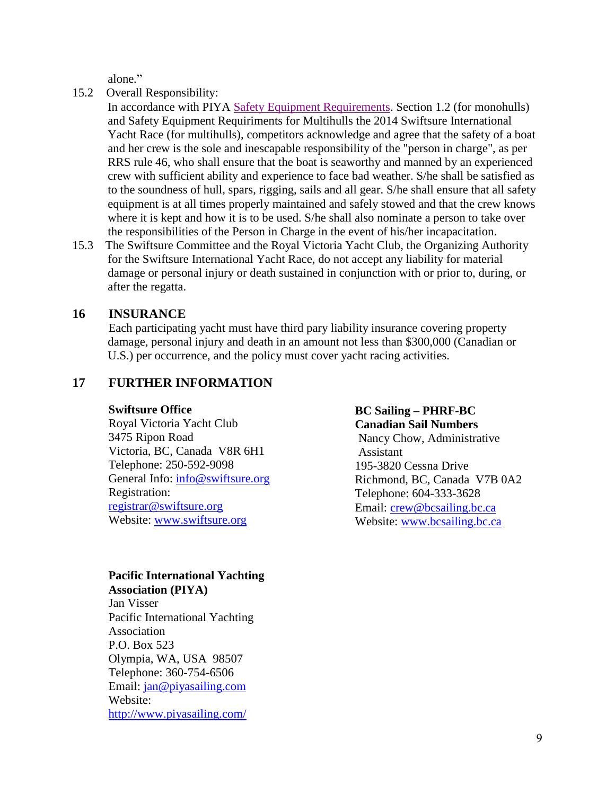alone*.*"

- 15.2 Overall Responsibility:
	- In accordance with PIYA [Safety Equipment Requirements.](http://www.piyasailing.com/) Section 1.2 (for monohulls) and Safety Equipment Requiriments for Multihulls the 2014 Swiftsure International Yacht Race (for multihulls), competitors acknowledge and agree that the safety of a boat and her crew is the sole and inescapable responsibility of the "person in charge", as per RRS rule 46, who shall ensure that the boat is seaworthy and manned by an experienced crew with sufficient ability and experience to face bad weather. S/he shall be satisfied as to the soundness of hull, spars, rigging, sails and all gear. S/he shall ensure that all safety equipment is at all times properly maintained and safely stowed and that the crew knows where it is kept and how it is to be used. S/he shall also nominate a person to take over the responsibilities of the Person in Charge in the event of his/her incapacitation.
- 15.3 The Swiftsure Committee and the Royal Victoria Yacht Club, the Organizing Authority for the Swiftsure International Yacht Race, do not accept any liability for material damage or personal injury or death sustained in conjunction with or prior to, during, or after the regatta.

### **16 INSURANCE**

Each participating yacht must have third pary liability insurance covering property damage, personal injury and death in an amount not less than \$300,000 (Canadian or U.S.) per occurrence, and the policy must cover yacht racing activities.

### **17 FURTHER INFORMATION**

#### **Swiftsure Office**

Royal Victoria Yacht Club 3475 Ripon Road Victoria, BC, Canada V8R 6H1 Telephone: 250-592-9098 General Info: [info@swiftsure.org](mailto:info@swiftsure.org) Registration: [registrar@swiftsure.org](mailto:registrar@swiftsure.org) Website: [www.swiftsure.org](http://www.swiftsure.org/)

## **Pacific International Yachting**

**Association (PIYA)** Jan Visser Pacific International Yachting Association P.O. Box 523 Olympia, WA, USA 98507 Telephone: 360-754-6506 Email: [jan@piyasailing.com](mailto:jan@piyasailing.com) Website: <http://www.piyasailing.com/>

#### **BC Sailing – PHRF-BC Canadian Sail Numbers**

Nancy Chow, Administrative Assistant 195-3820 Cessna Drive Richmond, BC, Canada V7B 0A2 Telephone: 604-333-3628 Email: [crew@bcsailing.bc.ca](mailto:crew@bcsailing.bc.ca) Website: [www.bcsailing.bc.ca](http://www.bcsailing.bc.ca/)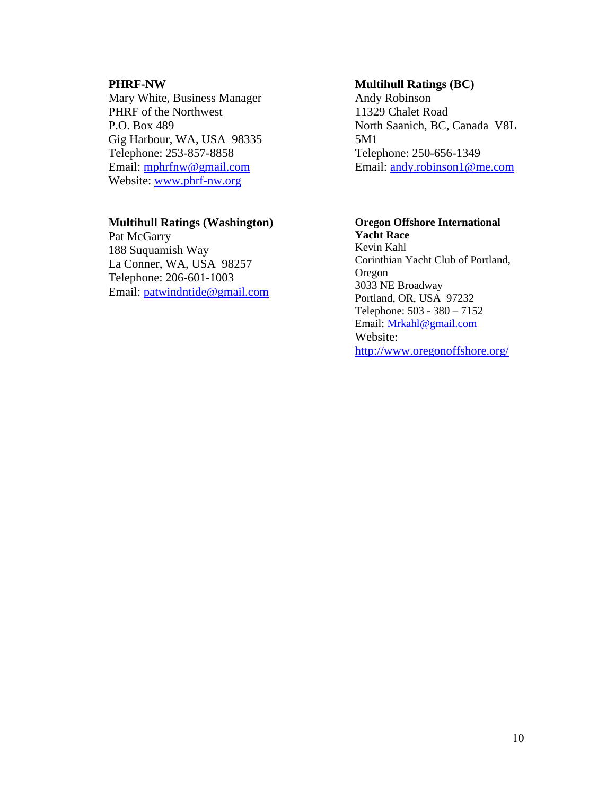#### **PHRF-NW**

Mary White, Business Manager PHRF of the Northwest P.O. Box 489 Gig Harbour, WA, USA 98335 Telephone: 253-857-8858 Email: [mphrfnw@gmail.com](mailto:mphrfnw@gmail.com) Website: [www.phrf-nw.org](http://www.phrf-nw.org/)

#### **Multihull Ratings (Washington)**

Pat McGarry 188 Suquamish Way La Conner, WA, USA 98257 Telephone: 206-601-1003 Email: [patwindntide@gmail.com](mailto:patwindntide@gmail.com)

#### **Multihull Ratings (BC)**

Andy Robinson 11329 Chalet Road North Saanich, BC, Canada V8L 5M1 Telephone: 250-656-1349 Email: [andy.robinson1@me.com](mailto:andy.robinson1@me.com)

#### **Oregon Offshore International Yacht Race**

Kevin Kahl Corinthian Yacht Club of Portland, Oregon 3033 NE Broadway Portland, OR, USA 97232 Telephone: 503 - 380 – 7152 Email: [Mrkahl@gmail.com](mailto:Mrkahl@gmail.com) Website: <http://www.oregonoffshore.org/>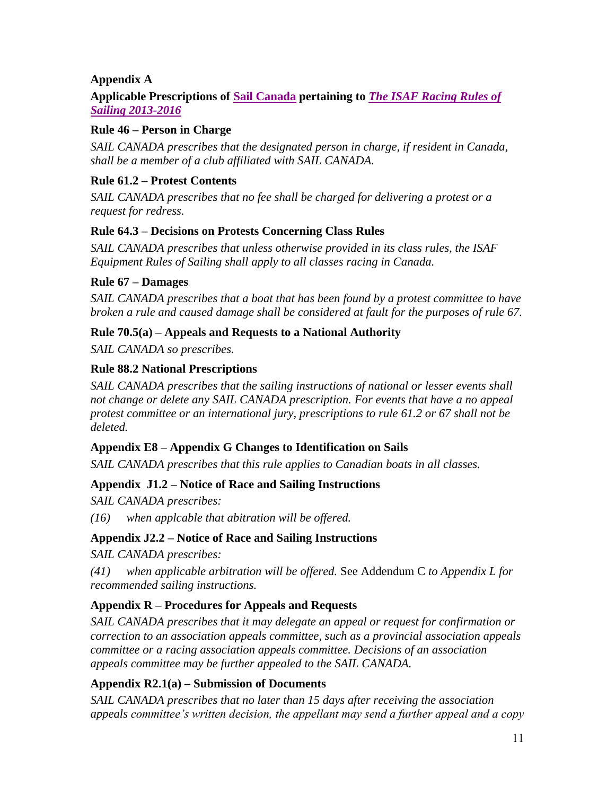### **Appendix A**

#### **Applicable Prescriptions of [Sail Canada](https://www.sailing.ca/racing/rules_and_regatta_management/racing_rules_of_sailing/) pertaining to** *The ISAF [Racing Rules of](http://www.sailing.org/tools/documents/ISAFRRS20132016Final-%5B13376%5D.pdf)  [Sailing 2013-2016](http://www.sailing.org/tools/documents/ISAFRRS20132016Final-%5B13376%5D.pdf)*

#### **Rule 46 – Person in Charge**

*SAIL CANADA prescribes that the designated person in charge, if resident in Canada, shall be a member of a club affiliated with SAIL CANADA.*

#### **Rule 61.2 – Protest Contents**

*SAIL CANADA prescribes that no fee shall be charged for delivering a protest or a request for redress.*

### **Rule 64.3 – Decisions on Protests Concerning Class Rules**

*SAIL CANADA prescribes that unless otherwise provided in its class rules, the ISAF Equipment Rules of Sailing shall apply to all classes racing in Canada.*

### **Rule 67 – Damages**

*SAIL CANADA prescribes that a boat that has been found by a protest committee to have broken a rule and caused damage shall be considered at fault for the purposes of rule 67.*

### **Rule 70.5(a) – Appeals and Requests to a National Authority**

*SAIL CANADA so prescribes.*

### **Rule 88.2 National Prescriptions**

*SAIL CANADA prescribes that the sailing instructions of national or lesser events shall not change or delete any SAIL CANADA prescription. For events that have a no appeal protest committee or an international jury, prescriptions to rule 61.2 or 67 shall not be deleted.*

#### **Appendix E8 – Appendix G Changes to Identification on Sails**

*SAIL CANADA prescribes that this rule applies to Canadian boats in all classes.*

### **Appendix J1.2 – Notice of Race and Sailing Instructions**

*SAIL CANADA prescribes:*

*(16) when applcable that abitration will be offered.*

#### **Appendix J2.2 – Notice of Race and Sailing Instructions**

*SAIL CANADA prescribes:*

*(41) when applicable arbitration will be offered.* See Addendum C *to Appendix L for recommended sailing instructions.*

### **Appendix R – Procedures for Appeals and Requests**

*SAIL CANADA prescribes that it may delegate an appeal or request for confirmation or correction to an association appeals committee, such as a provincial association appeals committee or a racing association appeals committee. Decisions of an association appeals committee may be further appealed to the SAIL CANADA.*

### **Appendix R2.1(a) – Submission of Documents**

*SAIL CANADA prescribes that no later than 15 days after receiving the association appeals committee's written decision, the appellant may send a further appeal and a copy*